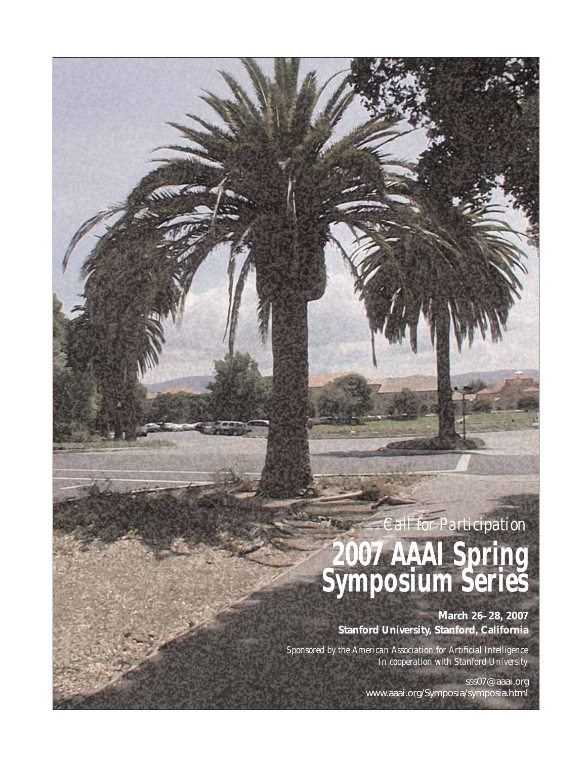# *Call for Participation* **2007 AAAI Spring Symposium Series**

 $\sim$ 

**March 26–28, 2007 Stanford University, Stanford, California**

*Sponsored by the American Association for Artificial Intelligence In cooperation with Stanford University*

> sss07@aaai.org www.aaai.org/Symposia/symposia.html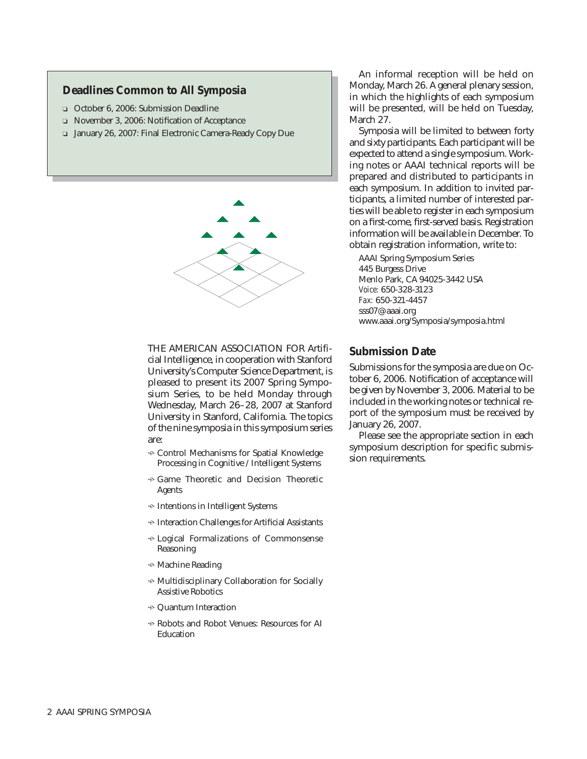# **Deadlines Common to All Symposia**

- ❏ October 6, 2006: Submission Deadline
- ❏ November 3, 2006: Notification of Acceptance
- ❏ January 26, 2007: Final Electronic Camera-Ready Copy Due



THE AMERICAN ASSOCIATION FOR Artificial Intelligence, in cooperation with Stanford University's Computer Science Department, is pleased to present its 2007 Spring Symposium Series, to be held Monday through Wednesday, March 26–28, 2007 at Stanford University in Stanford, California. The topics of the nine symposia in this symposium series are:

- $\div$  Control Mechanisms for Spatial Knowledge Processing in Cognitive / Intelligent Systems
- $\div$  Game Theoretic and Decision Theoretic Agents
- $\div$  Intentions in Intelligent Systems
- $\div$  Interaction Challenges for Artificial Assistants
- Logical Formalizations of Commonsense Reasoning
- $\div$  Machine Reading
- $\div$  Multidisciplinary Collaboration for Socially Assistive Robotics
- $\div$  Quantum Interaction
- $\div$  Robots and Robot Venues: Resources for AI Education

An informal reception will be held on Monday, March 26. A general plenary session, in which the highlights of each symposium will be presented, will be held on Tuesday, March 27.

Symposia will be limited to between forty and sixty participants. Each participant will be expected to attend a single symposium. Working notes or AAAI technical reports will be prepared and distributed to participants in each symposium. In addition to invited participants, a limited number of interested parties will be able to register in each symposium on a first-come, first-served basis. Registration information will be available in December. To obtain registration information, write to:

AAAI Spring Symposium Series 445 Burgess Drive Menlo Park, CA 94025-3442 USA *Voice:* 650-328-3123 *Fax:* 650-321-4457 sss07@aaai.org www.aaai.org/Symposia/symposia.html

#### **Submission Date**

Submissions for the symposia are due on October 6, 2006. Notification of acceptance will be given by November 3, 2006. Material to be included in the working notes or technical report of the symposium must be received by January 26, 2007.

Please see the appropriate section in each symposium description for specific submission requirements.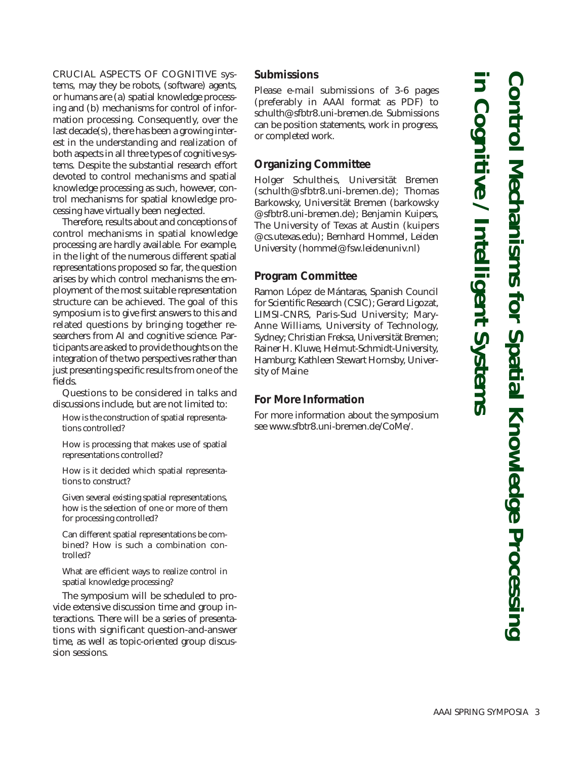CRUCIAL ASPECTS OF COGNITIVE systems, may they be robots, (software) agents, or humans are (a) spatial knowledge processing and (b) mechanisms for control of information processing. Consequently, over the last decade(s), there has been a growing interest in the understanding and realization of both aspects in all three types of cognitive systems. Despite the substantial research effort devoted to control mechanisms and spatial knowledge processing as such, however, control mechanisms for spatial knowledge processing have virtually been neglected.

Therefore, results about and conceptions of control mechanisms in spatial knowledge processing are hardly available. For example, in the light of the numerous different spatial representations proposed so far, the question arises by which control mechanisms the employment of the most suitable representation structure can be achieved. The goal of this symposium is to give first answers to this and related questions by bringing together researchers from AI and cognitive science. Participants are asked to provide thoughts on the integration of the two perspectives rather than just presenting specific results from one of the fields.

Questions to be considered in talks and discussions include, but are not limited to:

How is the construction of spatial representations controlled?

How is processing that makes use of spatial representations controlled?

How is it decided which spatial representations to construct?

Given several existing spatial representations, how is the selection of one or more of them for processing controlled?

Can different spatial representations be combined? How is such a combination controlled?

What are efficient ways to realize control in spatial knowledge processing?

The symposium will be scheduled to provide extensive discussion time and group interactions. There will be a series of presentations with significant question-and-answer time, as well as topic-oriented group discussion sessions.

#### **Submissions**

Please e-mail submissions of 3-6 pages (preferably in AAAI format as PDF) to schulth@sfbtr8.uni-bremen.de. Submissions can be position statements, work in progress, or completed work.

#### **Organizing Committee**

Holger Schultheis, Universität Bremen (schulth@sfbtr8.uni-bremen.de); Thomas Barkowsky, Universität Bremen (barkowsky @sfbtr8.uni-bremen.de); Benjamin Kuipers, The University of Texas at Austin (kuipers @cs.utexas.edu); Bernhard Hommel, Leiden University (hommel@fsw.leidenuniv.nl)

# **Program Committee**

Ramon López de Mántaras, Spanish Council for Scientific Research (CSIC); Gerard Ligozat, LIMSI-CNRS, Paris-Sud University; Mary-Anne Williams, University of Technology, Sydney; Christian Freksa, Universität Bremen; Rainer H. Kluwe, Helmut-Schmidt-University, Hamburg; Kathleen Stewart Hornsby, University of Maine

# **For More Information**

For more information about the symposium see www.sfbtr8.uni-bremen.de/CoMe/.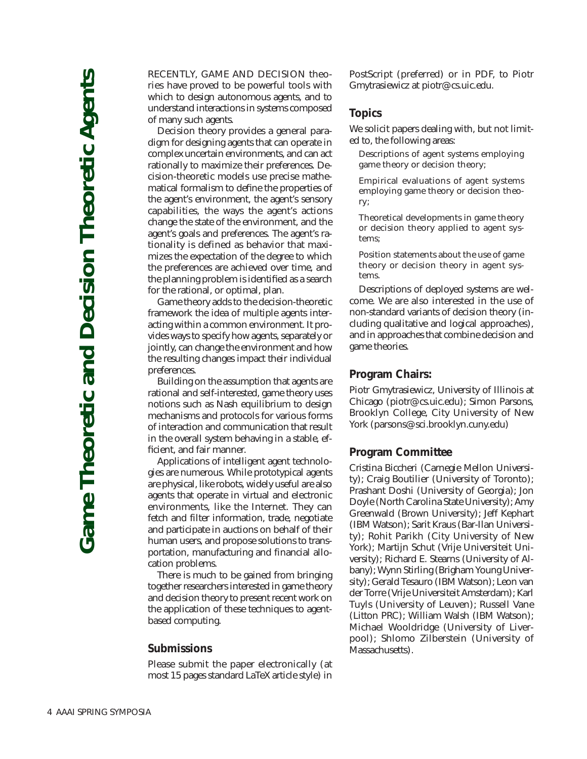RECENTLY, GAME AND DECISION theories have proved to be powerful tools with which to design autonomous agents, and to understand interactions in systems composed of many such agents.

Decision theory provides a general paradigm for designing agents that can operate in complex uncertain environments, and can act rationally to maximize their preferences. Decision-theoretic models use precise mathematical formalism to define the properties of the agent's environment, the agent's sensory capabilities, the ways the agent's actions change the state of the environment, and the agent's goals and preferences. The agent's rationality is defined as behavior that maximizes the expectation of the degree to which the preferences are achieved over time, and the planning problem is identified as a search for the rational, or optimal, plan.

Game theory adds to the decision-theoretic framework the idea of multiple agents interacting within a common environment. It provides ways to specify how agents, separately or jointly, can change the environment and how the resulting changes impact their individual preferences.

Building on the assumption that agents are rational and self-interested, game theory uses notions such as Nash equilibrium to design mechanisms and protocols for various forms of interaction and communication that result in the overall system behaving in a stable, efficient, and fair manner.

Applications of intelligent agent technologies are numerous. While prototypical agents are physical, like robots, widely useful are also agents that operate in virtual and electronic environments, like the Internet. They can fetch and filter information, trade, negotiate and participate in auctions on behalf of their human users, and propose solutions to transportation, manufacturing and financial allocation problems.

There is much to be gained from bringing together researchers interested in game theory and decision theory to present recent work on the application of these techniques to agentbased computing.

#### **Submissions**

Please submit the paper electronically (at most 15 pages standard LaTeX article style) in PostScript (preferred) or in PDF, to Piotr Gmytrasiewicz at piotr@cs.uic.edu.

#### **Topics**

We solicit papers dealing with, but not limited to, the following areas:

Descriptions of agent systems employing game theory or decision theory;

Empirical evaluations of agent systems employing game theory or decision theory;

Theoretical developments in game theory or decision theory applied to agent systems;

Position statements about the use of game theory or decision theory in agent systems.

Descriptions of deployed systems are welcome. We are also interested in the use of non-standard variants of decision theory (including qualitative and logical approaches), and in approaches that combine decision and game theories.

#### **Program Chairs:**

Piotr Gmytrasiewicz, University of Illinois at Chicago (piotr@cs.uic.edu); Simon Parsons, Brooklyn College, City University of New York (parsons@sci.brooklyn.cuny.edu)

#### **Program Committee**

Cristina Biccheri (Carnegie Mellon University); Craig Boutilier (University of Toronto); Prashant Doshi (University of Georgia); Jon Doyle (North Carolina State University); Amy Greenwald (Brown University); Jeff Kephart (IBM Watson); Sarit Kraus (Bar-Ilan University); Rohit Parikh (City University of New York); Martijn Schut (Vrije Universiteit University); Richard E. Stearns (University of Albany); Wynn Stirling (Brigham Young University); Gerald Tesauro (IBM Watson); Leon van der Torre (Vrije Universiteit Amsterdam); Karl Tuyls (University of Leuven); Russell Vane (Litton PRC); William Walsh (IBM Watson); Michael Wooldridge (University of Liverpool); Shlomo Zilberstein (University of Massachusetts).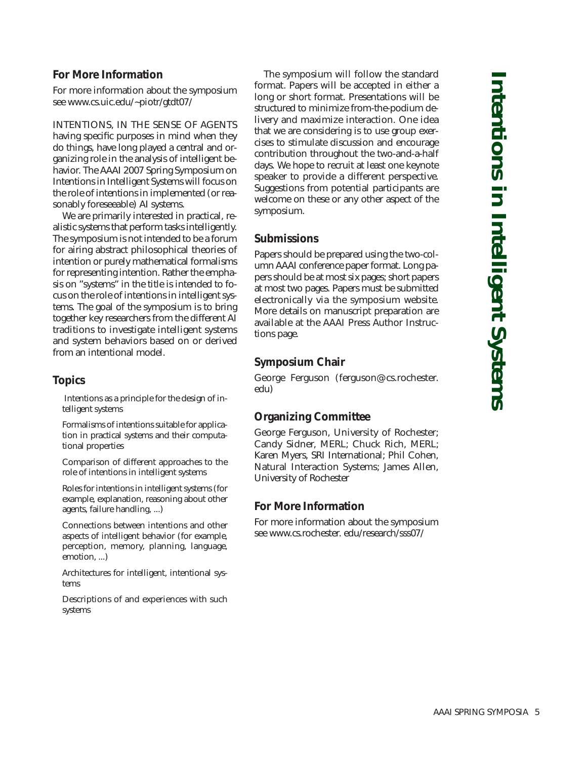# **For More Information**

For more information about the symposium see www.cs.uic.edu/~piotr/gtdt07/

INTENTIONS, IN THE SENSE OF AGENTS having specific purposes in mind when they do things, have long played a central and organizing role in the analysis of intelligent behavior. The AAAI 2007 Spring Symposium on Intentions in Intelligent Systems will focus on the role of intentions in implemented (or reasonably foreseeable) AI systems.

We are primarily interested in practical, realistic systems that perform tasks intelligently. The symposium is not intended to be a forum for airing abstract philosophical theories of intention or purely mathematical formalisms for representing intention. Rather the emphasis on "systems" in the title is intended to focus on the role of intentions in intelligent systems. The goal of the symposium is to bring together key researchers from the different AI traditions to investigate intelligent systems and system behaviors based on or derived from an intentional model.

#### **Topics**

Intentions as a principle for the design of intelligent systems

Formalisms of intentions suitable for application in practical systems and their computational properties

Comparison of different approaches to the role of intentions in intelligent systems

Roles for intentions in intelligent systems (for example, explanation, reasoning about other agents, failure handling, ...)

Connections between intentions and other aspects of intelligent behavior (for example, perception, memory, planning, language, emotion, ...)

Architectures for intelligent, intentional systems

Descriptions of and experiences with such systems

The symposium will follow the standard format. Papers will be accepted in either a long or short format. Presentations will be structured to minimize from-the-podium delivery and maximize interaction. One idea that we are considering is to use group exercises to stimulate discussion and encourage contribution throughout the two-and-a-half days. We hope to recruit at least one keynote speaker to provide a different perspective. Suggestions from potential participants are welcome on these or any other aspect of the symposium.

# **Submissions**

Papers should be prepared using the two-column AAAI conference paper format. Long papers should be at most six pages; short papers at most two pages. Papers must be submitted electronically via the symposium website. More details on manuscript preparation are available at the AAAI Press Author Instructions page.

# **Symposium Chair**

George Ferguson (ferguson@cs.rochester. edu)

# **Organizing Committee**

George Ferguson, University of Rochester; Candy Sidner, MERL; Chuck Rich, MERL; Karen Myers, SRI International; Phil Cohen, Natural Interaction Systems; James Allen, University of Rochester

#### **For More Information**

For more information about the symposium see www.cs.rochester. edu/research/sss07/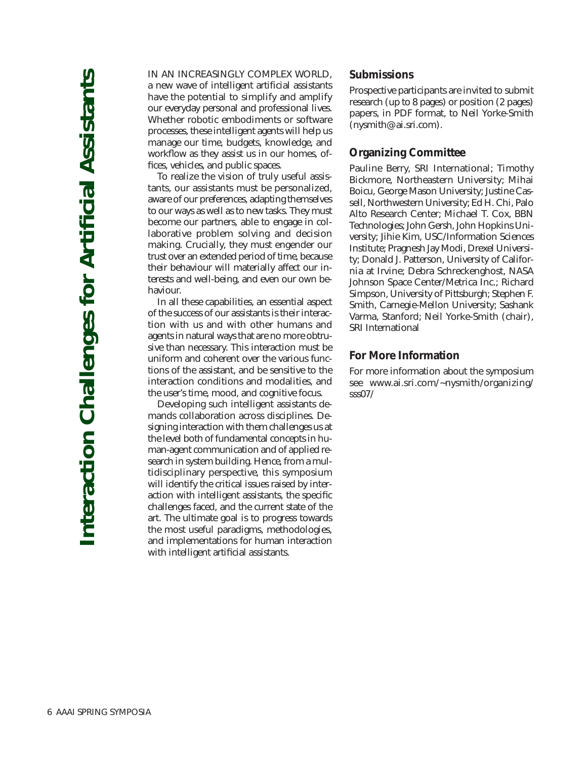IN AN INCREASINGLY COMPLEX WORLD, a new wave of intelligent artificial assistants have the potential to simplify and amplify our everyday personal and professional lives. Whether robotic embodiments or software processes, these intelligent agents will help us manage our time, budgets, knowledge, and workflow as they assist us in our homes, offices, vehicles, and public spaces.

To realize the vision of truly useful assistants, our assistants must be personalized, aware of our preferences, adapting themselves to our ways as well as to new tasks. They must become our partners, able to engage in collaborative problem solving and decision making. Crucially, they must engender our trust over an extended period of time, because their behaviour will materially affect our interests and well-being, and even our own behaviour.

In all these capabilities, an essential aspect of the success of our assistants is their interaction with us and with other humans and agents in natural ways that are no more obtrusive than necessary. This interaction must be uniform and coherent over the various functions of the assistant, and be sensitive to the interaction conditions and modalities, and the user's time, mood, and cognitive focus.

Developing such intelligent assistants demands collaboration across disciplines. Designing interaction with them challenges us at the level both of fundamental concepts in human-agent communication and of applied research in system building. Hence, from a multidisciplinary perspective, this symposium will identify the critical issues raised by interaction with intelligent assistants, the specific challenges faced, and the current state of the art. The ultimate goal is to progress towards the most useful paradigms, methodologies, and implementations for human interaction with intelligent artificial assistants.

#### **Submissions**

Prospective participants are invited to submit research (up to 8 pages) or position (2 pages) papers, in PDF format, to Neil Yorke-Smith (nysmith@ai.sri.com).

## **Organizing Committee**

Pauline Berry, SRI International; Timothy Bickmore, Northeastern University; Mihai Boicu, George Mason University; Justine Cassell, Northwestern University; Ed H. Chi, Palo Alto Research Center; Michael T. Cox, BBN Technologies; John Gersh, John Hopkins University; Jihie Kim, USC/Information Sciences Institute; Pragnesh Jay Modi, Drexel University; Donald J. Patterson, University of California at Irvine; Debra Schreckenghost, NASA Johnson Space Center/Metrica Inc.; Richard Simpson, University of Pittsburgh; Stephen F. Smith, Carnegie-Mellon University; Sashank Varma, Stanford; Neil Yorke-Smith (chair), SRI International

# **For More Information**

For more information about the symposium see www.ai.sri.com/~nysmith/organizing/ sss07/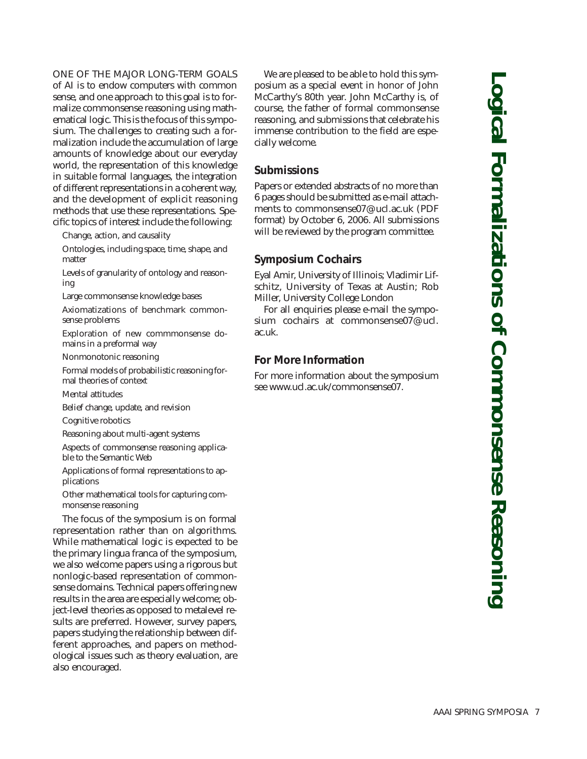# ONE OF THE MAJOR LONG-TERM GOALS

of AI is to endow computers with common sense, and one approach to this goal is to formalize commonsense reasoning using mathematical logic. This is the focus of this symposium. The challenges to creating such a formalization include the accumulation of large amounts of knowledge about our everyday world, the representation of this knowledge in suitable formal languages, the integration of different representations in a coherent way, and the development of explicit reasoning methods that use these representations. Specific topics of interest include the following:

Change, action, and causality

Ontologies, including space, time, shape, and matter

Levels of granularity of ontology and reasoning

Large commonsense knowledge bases

Axiomatizations of benchmark commonsense problems

Exploration of new commmonsense domains in a preformal way

Nonmonotonic reasoning

Formal models of probabilistic reasoning formal theories of context

Mental attitudes

Belief change, update, and revision

Cognitive robotics

Reasoning about multi-agent systems

Aspects of commonsense reasoning applicable to the Semantic Web

Applications of formal representations to applications

Other mathematical tools for capturing commonsense reasoning

The focus of the symposium is on formal representation rather than on algorithms. While mathematical logic is expected to be the primary lingua franca of the symposium, we also welcome papers using a rigorous but nonlogic-based representation of commonsense domains. Technical papers offering new results in the area are especially welcome; object-level theories as opposed to metalevel results are preferred. However, survey papers, papers studying the relationship between different approaches, and papers on methodological issues such as theory evaluation, are also encouraged.

We are pleased to be able to hold this symposium as a special event in honor of John McCarthy's 80th year. John McCarthy is, of course, the father of formal commonsense reasoning, and submissions that celebrate his immense contribution to the field are especially welcome.

# **Submissions**

Papers or extended abstracts of no more than 6 pages should be submitted as e-mail attachments to commonsense07@ucl.ac.uk (PDF format) by October 6, 2006. All submissions will be reviewed by the program committee.

#### **Symposium Cochairs**

Eyal Amir, University of Illinois; Vladimir Lifschitz, University of Texas at Austin; Rob Miller, University College London

For all enquiries please e-mail the symposium cochairs at commonsense07@ucl. ac.uk.

#### **For More Information**

For more information about the symposium see www.ucl.ac.uk/commonsense07.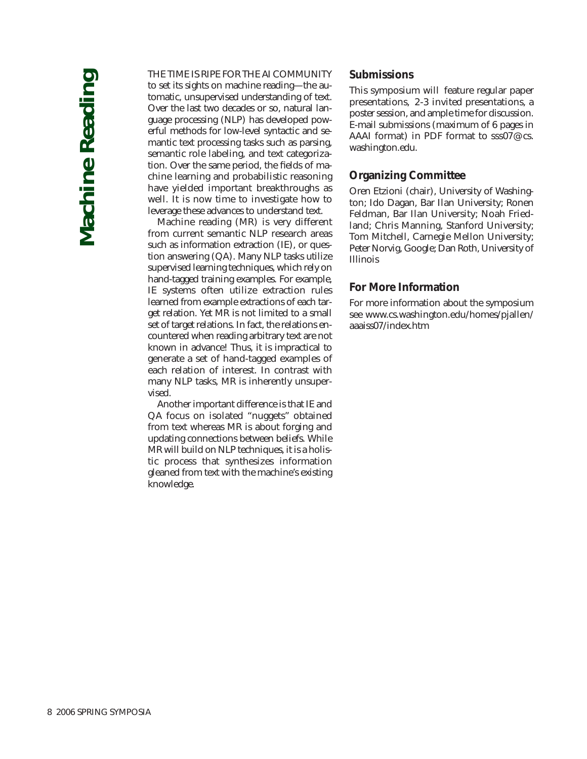#### THE TIME IS RIPE FOR THE AI COMMUNITY

to set its sights on machine reading—the automatic, unsupervised understanding of text. Over the last two decades or so, natural language processing (NLP) has developed powerful methods for low-level syntactic and semantic text processing tasks such as parsing, semantic role labeling, and text categorization. Over the same period, the fields of machine learning and probabilistic reasoning have yielded important breakthroughs as well. It is now time to investigate how to leverage these advances to understand text.

Machine reading (MR) is very different from current semantic NLP research areas such as information extraction (IE), or question answering (QA). Many NLP tasks utilize supervised learning techniques, which rely on hand-tagged training examples. For example, IE systems often utilize extraction rules learned from example extractions of each target relation. Yet MR is not limited to a small set of target relations. In fact, the relations encountered when reading arbitrary text are not known in advance! Thus, it is impractical to generate a set of hand-tagged examples of each relation of interest. In contrast with many NLP tasks, MR is inherently unsupervised.

Another important difference is that IE and QA focus on isolated "nuggets" obtained from text whereas MR is about forging and updating connections between beliefs. While MR will build on NLP techniques, it is a holistic process that synthesizes information gleaned from text with the machine's existing knowledge.

#### **Submissions**

This symposium will feature regular paper presentations, 2-3 invited presentations, a poster session, and ample time for discussion. E-mail submissions (maximum of 6 pages in AAAI format) in PDF format to sss07@cs. washington.edu.

#### **Organizing Committee**

Oren Etzioni (chair), University of Washington; Ido Dagan, Bar Ilan University; Ronen Feldman, Bar Ilan University; Noah Friedland; Chris Manning, Stanford University; Tom Mitchell, Carnegie Mellon University; Peter Norvig, Google; Dan Roth, University of Illinois

#### **For More Information**

For more information about the symposium see www.cs.washington.edu/homes/pjallen/ aaaiss07/index.htm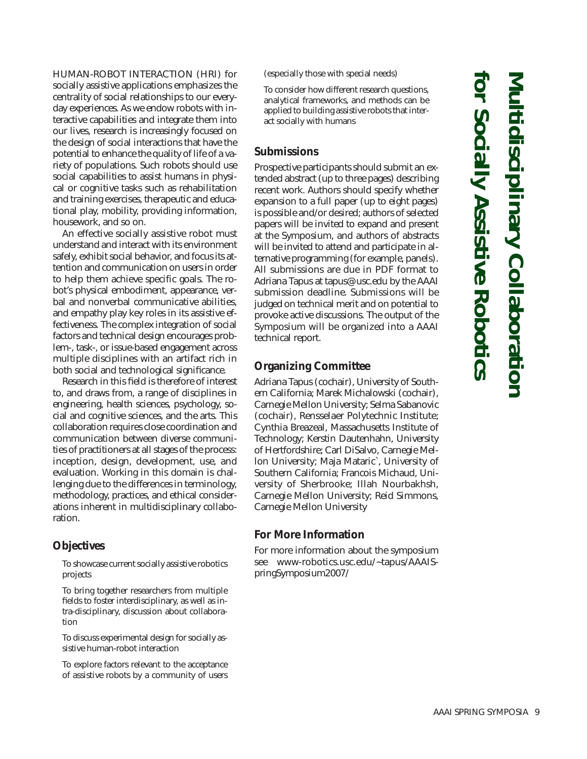HUMAN-ROBOT INTERACTION (HRI) for socially assistive applications emphasizes the centrality of social relationships to our everyday experiences. As we endow robots with interactive capabilities and integrate them into our lives, research is increasingly focused on the design of social interactions that have the potential to enhance the quality of life of a variety of populations. Such robots should use social capabilities to assist humans in physical or cognitive tasks such as rehabilitation and training exercises, therapeutic and educational play, mobility, providing information, housework, and so on.

An effective socially assistive robot must understand and interact with its environment safely, exhibit social behavior, and focus its attention and communication on users in order to help them achieve specific goals. The robot's physical embodiment, appearance, verbal and nonverbal communicative abilities, and empathy play key roles in its assistive effectiveness. The complex integration of social factors and technical design encourages problem-, task-, or issue-based engagement across multiple disciplines with an artifact rich in both social and technological significance.

Research in this field is therefore of interest to, and draws from, a range of disciplines in engineering, health sciences, psychology, social and cognitive sciences, and the arts. This collaboration requires close coordination and communication between diverse communities of practitioners at all stages of the process: inception, design, development, use, and evaluation. Working in this domain is challenging due to the differences in terminology, methodology, practices, and ethical considerations inherent in multidisciplinary collaboration.

# **Objectives**

To showcase current socially assistive robotics projects

To bring together researchers from multiple fields to foster interdisciplinary, as well as intra-disciplinary, discussion about collaboration

To discuss experimental design for socially assistive human-robot interaction

To explore factors relevant to the acceptance of assistive robots by a community of users (especially those with special needs)

To consider how different research questions, analytical frameworks, and methods can be applied to building assistive robots that interact socially with humans

#### **Submissions**

Prospective participants should submit an extended abstract (up to three pages) describing recent work. Authors should specify whether expansion to a full paper (up to eight pages) is possible and/or desired; authors of selected papers will be invited to expand and present at the Symposium, and authors of abstracts will be invited to attend and participate in alternative programming (for example, panels). All submissions are due in PDF format to Adriana Tapus at tapus@usc.edu by the AAAI submission deadline. Submissions will be judged on technical merit and on potential to provoke active discussions. The output of the Symposium will be organized into a AAAI technical report.

# **Organizing Committee**

Adriana Tapus (cochair), University of Southern California; Marek Michalowski (cochair), Carnegie Mellon University; Selma Sabanovic (cochair), Rensselaer Polytechnic Institute; Cynthia Breazeal, Massachusetts Institute of Technology; Kerstin Dautenhahn, University of Hertfordshire; Carl DiSalvo, Carnegie Mellon University; Maja Mataric`, University of Southern California; Francois Michaud, University of Sherbrooke; Illah Nourbakhsh, Carnegie Mellon University; Reid Simmons, Carnegie Mellon University

# **For More Information**

For more information about the symposium see www-robotics.usc.edu/~tapus/AAAISpringSymposium2007/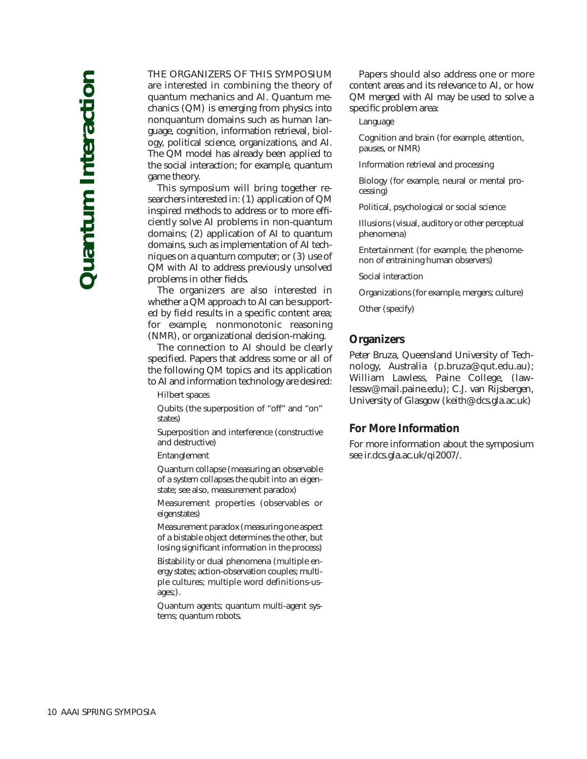#### THE ORGANIZERS OF THIS SYMPOSIUM

are interested in combining the theory of quantum mechanics and AI. Quantum mechanics (QM) is emerging from physics into nonquantum domains such as human language, cognition, information retrieval, biology, political science, organizations, and AI. The QM model has already been applied to the social interaction; for example, quantum game theory.

This symposium will bring together researchers interested in: (1) application of QM inspired methods to address or to more efficiently solve AI problems in non-quantum domains; (2) application of AI to quantum domains, such as implementation of AI techniques on a quantum computer; or (3) use of QM with AI to address previously unsolved problems in other fields.

The organizers are also interested in whether a QM approach to AI can be supported by field results in a specific content area; for example, nonmonotonic reasoning (NMR), or organizational decision-making.

The connection to AI should be clearly specified. Papers that address some or all of the following QM topics and its application to AI and information technology are desired:

Hilbert spaces

Qubits (the superposition of "off" and "on" states)

Superposition and interference (constructive and destructive)

Entanglement

Quantum collapse (measuring an observable of a system collapses the qubit into an eigenstate; see also, measurement paradox)

Measurement properties (observables or eigenstates)

Measurement paradox (measuring one aspect of a bistable object determines the other, but losing significant information in the process)

Bistability or dual phenomena (multiple energy states; action-observation couples; multiple cultures; multiple word definitions-usages;).

Quantum agents; quantum multi-agent systems; quantum robots.

Papers should also address one or more content areas and its relevance to AI, or how QM merged with AI may be used to solve a specific problem area:

Language

Cognition and brain (for example, attention, pauses, or NMR)

Information retrieval and processing

Biology (for example, neural or mental processing)

Political, psychological or social science

Illusions (visual, auditory or other perceptual phenomena)

Entertainment (for example, the phenomenon of entraining human observers)

Social interaction

Organizations (for example, mergers; culture)

Other (specify)

#### **Organizers**

Peter Bruza, Queensland University of Technology, Australia (p.bruza@qut.edu.au); William Lawless, Paine College, (lawlessw@mail.paine.edu); C.J. van Rijsbergen, University of Glasgow (keith@dcs.gla.ac.uk)

#### **For More Information**

For more information about the symposium see ir.dcs.gla.ac.uk/qi2007/.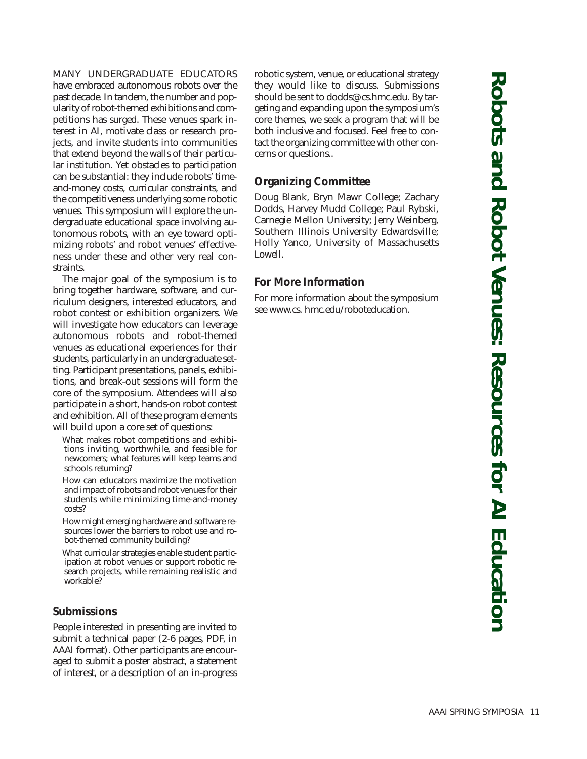# MANY UNDERGRADUATE EDUCATORS

have embraced autonomous robots over the past decade. In tandem, the number and popularity of robot-themed exhibitions and competitions has surged. These venues spark interest in AI, motivate class or research projects, and invite students into communities that extend beyond the walls of their particular institution. Yet obstacles to participation can be substantial: they include robots' timeand-money costs, curricular constraints, and the competitiveness underlying some robotic venues. This symposium will explore the undergraduate educational space involving autonomous robots, with an eye toward optimizing robots' and robot venues' effectiveness under these and other very real constraints.

The major goal of the symposium is to bring together hardware, software, and curriculum designers, interested educators, and robot contest or exhibition organizers. We will investigate how educators can leverage autonomous robots and robot-themed venues as educational experiences for their students, particularly in an undergraduate setting. Participant presentations, panels, exhibitions, and break-out sessions will form the core of the symposium. Attendees will also participate in a short, hands-on robot contest and exhibition. All of these program elements will build upon a core set of questions:

What makes robot competitions and exhibitions inviting, worthwhile, and feasible for newcomers; what features will keep teams and schools returning?

How can educators maximize the motivation and impact of robots and robot venues for their students while minimizing time-and-money costs?

How might emerging hardware and software resources lower the barriers to robot use and robot-themed community building?

What curricular strategies enable student participation at robot venues or support robotic research projects, while remaining realistic and workable?

# **Submissions**

People interested in presenting are invited to submit a technical paper (2-6 pages, PDF, in AAAI format). Other participants are encouraged to submit a poster abstract, a statement of interest, or a description of an in-progress robotic system, venue, or educational strategy they would like to discuss. Submissions should be sent to dodds@cs.hmc.edu. By targeting and expanding upon the symposium's core themes, we seek a program that will be both inclusive and focused. Feel free to contact the organizing committee with other concerns or questions..

# **Organizing Committee**

Doug Blank, Bryn Mawr College; Zachary Dodds, Harvey Mudd College; Paul Rybski, Carnegie Mellon University; Jerry Weinberg, Southern Illinois University Edwardsville; Holly Yanco, University of Massachusetts Lowell.

# **For More Information**

For more information about the symposium see www.cs. hmc.edu/roboteducation.